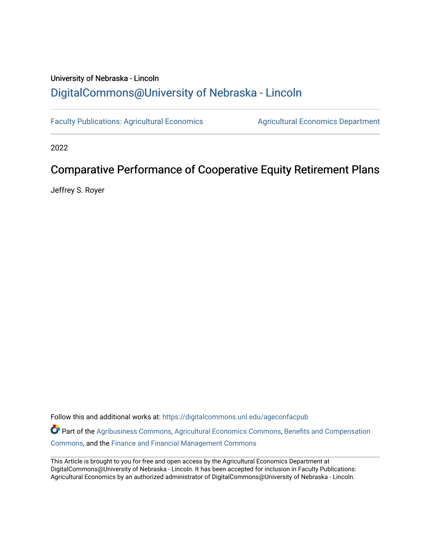# University of Nebraska - Lincoln [DigitalCommons@University of Nebraska - Lincoln](https://digitalcommons.unl.edu/)

[Faculty Publications: Agricultural Economics](https://digitalcommons.unl.edu/ageconfacpub) [Agricultural Economics Department](https://digitalcommons.unl.edu/ag_econ) 

2022

# Comparative Performance of Cooperative Equity Retirement Plans

Jeffrey S. Royer

Follow this and additional works at: [https://digitalcommons.unl.edu/ageconfacpub](https://digitalcommons.unl.edu/ageconfacpub?utm_source=digitalcommons.unl.edu%2Fageconfacpub%2F224&utm_medium=PDF&utm_campaign=PDFCoverPages)

Part of the [Agribusiness Commons,](http://network.bepress.com/hgg/discipline/1051?utm_source=digitalcommons.unl.edu%2Fageconfacpub%2F224&utm_medium=PDF&utm_campaign=PDFCoverPages) [Agricultural Economics Commons](http://network.bepress.com/hgg/discipline/1225?utm_source=digitalcommons.unl.edu%2Fageconfacpub%2F224&utm_medium=PDF&utm_campaign=PDFCoverPages), [Benefits and Compensation](http://network.bepress.com/hgg/discipline/1255?utm_source=digitalcommons.unl.edu%2Fageconfacpub%2F224&utm_medium=PDF&utm_campaign=PDFCoverPages)  [Commons](http://network.bepress.com/hgg/discipline/1255?utm_source=digitalcommons.unl.edu%2Fageconfacpub%2F224&utm_medium=PDF&utm_campaign=PDFCoverPages), and the [Finance and Financial Management Commons](http://network.bepress.com/hgg/discipline/631?utm_source=digitalcommons.unl.edu%2Fageconfacpub%2F224&utm_medium=PDF&utm_campaign=PDFCoverPages) 

This Article is brought to you for free and open access by the Agricultural Economics Department at DigitalCommons@University of Nebraska - Lincoln. It has been accepted for inclusion in Faculty Publications: Agricultural Economics by an authorized administrator of DigitalCommons@University of Nebraska - Lincoln.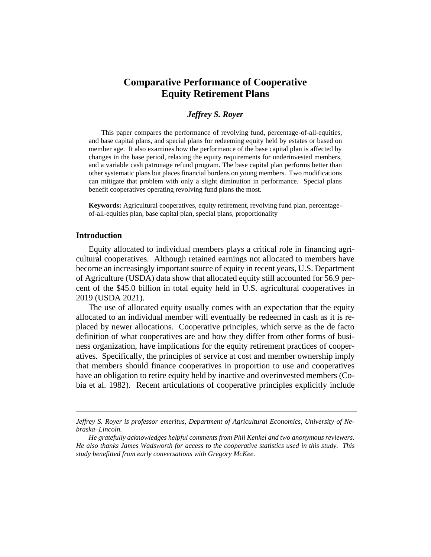# **Comparative Performance of Cooperative Equity Retirement Plans**

# *Jeffrey S. Royer*

This paper compares the performance of revolving fund, percentage-of-all-equities, and base capital plans, and special plans for redeeming equity held by estates or based on member age. It also examines how the performance of the base capital plan is affected by changes in the base period, relaxing the equity requirements for underinvested members, and a variable cash patronage refund program. The base capital plan performs better than other systematic plans but places financial burdens on young members. Two modifications can mitigate that problem with only a slight diminution in performance. Special plans benefit cooperatives operating revolving fund plans the most.

**Keywords:** Agricultural cooperatives, equity retirement, revolving fund plan, percentageof-all-equities plan, base capital plan, special plans, proportionality

# **Introduction**

Equity allocated to individual members plays a critical role in financing agricultural cooperatives. Although retained earnings not allocated to members have become an increasingly important source of equity in recent years, U.S. Department of Agriculture (USDA) data show that allocated equity still accounted for 56.9 percent of the \$45.0 billion in total equity held in U.S. agricultural cooperatives in 2019 (USDA 2021).

The use of allocated equity usually comes with an expectation that the equity allocated to an individual member will eventually be redeemed in cash as it is replaced by newer allocations. Cooperative principles, which serve as the de facto definition of what cooperatives are and how they differ from other forms of business organization, have implications for the equity retirement practices of cooperatives. Specifically, the principles of service at cost and member ownership imply that members should finance cooperatives in proportion to use and cooperatives have an obligation to retire equity held by inactive and overinvested members (Cobia et al. 1982). Recent articulations of cooperative principles explicitly include

*Jeffrey S. Royer is professor emeritus, Department of Agricultural Economics, University of Nebraska–Lincoln.*

*He gratefully acknowledges helpful comments from Phil Kenkel and two anonymous reviewers. He also thanks James Wadsworth for access to the cooperative statistics used in this study. This study benefitted from early conversations with Gregory McKee.*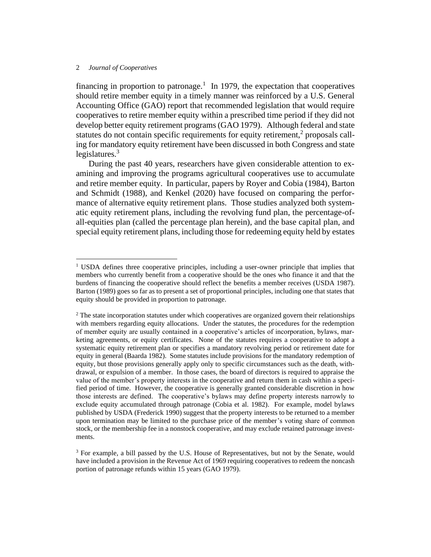financing in proportion to patronage.<sup>1</sup> In 1979, the expectation that cooperatives should retire member equity in a timely manner was reinforced by a U.S. General Accounting Office (GAO) report that recommended legislation that would require cooperatives to retire member equity within a prescribed time period if they did not develop better equity retirement programs (GAO 1979). Although federal and state statutes do not contain specific requirements for equity retirement,<sup>2</sup> proposals calling for mandatory equity retirement have been discussed in both Congress and state legislatures. $3$ 

During the past 40 years, researchers have given considerable attention to examining and improving the programs agricultural cooperatives use to accumulate and retire member equity. In particular, papers by Royer and Cobia (1984), Barton and Schmidt (1988), and Kenkel (2020) have focused on comparing the performance of alternative equity retirement plans. Those studies analyzed both systematic equity retirement plans, including the revolving fund plan, the percentage-ofall-equities plan (called the percentage plan herein), and the base capital plan, and special equity retirement plans, including those for redeeming equity held by estates

<sup>&</sup>lt;sup>1</sup> USDA defines three cooperative principles, including a user-owner principle that implies that members who currently benefit from a cooperative should be the ones who finance it and that the burdens of financing the cooperative should reflect the benefits a member receives (USDA 1987). Barton (1989) goes so far as to present a set of proportional principles, including one that states that equity should be provided in proportion to patronage.

 $2$  The state incorporation statutes under which cooperatives are organized govern their relationships with members regarding equity allocations. Under the statutes, the procedures for the redemption of member equity are usually contained in a cooperative's articles of incorporation, bylaws, marketing agreements, or equity certificates. None of the statutes requires a cooperative to adopt a systematic equity retirement plan or specifies a mandatory revolving period or retirement date for equity in general (Baarda 1982). Some statutes include provisions for the mandatory redemption of equity, but those provisions generally apply only to specific circumstances such as the death, withdrawal, or expulsion of a member. In those cases, the board of directors is required to appraise the value of the member's property interests in the cooperative and return them in cash within a specified period of time. However, the cooperative is generally granted considerable discretion in how those interests are defined. The cooperative's bylaws may define property interests narrowly to exclude equity accumulated through patronage (Cobia et al. 1982). For example, model bylaws published by USDA (Frederick 1990) suggest that the property interests to be returned to a member upon termination may be limited to the purchase price of the member's voting share of common stock, or the membership fee in a nonstock cooperative, and may exclude retained patronage investments.

<sup>&</sup>lt;sup>3</sup> For example, a bill passed by the U.S. House of Representatives, but not by the Senate, would have included a provision in the Revenue Act of 1969 requiring cooperatives to redeem the noncash portion of patronage refunds within 15 years (GAO 1979).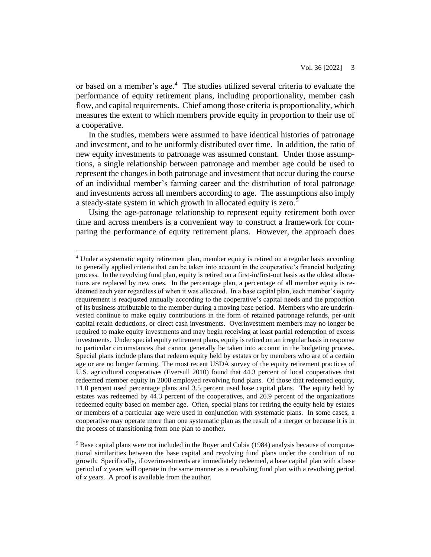or based on a member's age.<sup>4</sup> The studies utilized several criteria to evaluate the performance of equity retirement plans, including proportionality, member cash flow, and capital requirements. Chief among those criteria is proportionality, which measures the extent to which members provide equity in proportion to their use of a cooperative.

In the studies, members were assumed to have identical histories of patronage and investment, and to be uniformly distributed over time. In addition, the ratio of new equity investments to patronage was assumed constant. Under those assumptions, a single relationship between patronage and member age could be used to represent the changes in both patronage and investment that occur during the course of an individual member's farming career and the distribution of total patronage and investments across all members according to age. The assumptions also imply a steady-state system in which growth in allocated equity is zero.<sup>5</sup>

Using the age-patronage relationship to represent equity retirement both over time and across members is a convenient way to construct a framework for comparing the performance of equity retirement plans. However, the approach does

<sup>4</sup> Under a systematic equity retirement plan, member equity is retired on a regular basis according to generally applied criteria that can be taken into account in the cooperative's financial budgeting process. In the revolving fund plan, equity is retired on a first-in/first-out basis as the oldest allocations are replaced by new ones. In the percentage plan, a percentage of all member equity is redeemed each year regardless of when it was allocated. In a base capital plan, each member's equity requirement is readjusted annually according to the cooperative's capital needs and the proportion of its business attributable to the member during a moving base period. Members who are underinvested continue to make equity contributions in the form of retained patronage refunds, per-unit capital retain deductions, or direct cash investments. Overinvestment members may no longer be required to make equity investments and may begin receiving at least partial redemption of excess investments. Under special equity retirement plans, equity is retired on an irregular basis in response to particular circumstances that cannot generally be taken into account in the budgeting process. Special plans include plans that redeem equity held by estates or by members who are of a certain age or are no longer farming. The most recent USDA survey of the equity retirement practices of U.S. agricultural cooperatives (Eversull 2010) found that 44.3 percent of local cooperatives that redeemed member equity in 2008 employed revolving fund plans. Of those that redeemed equity, 11.0 percent used percentage plans and 3.5 percent used base capital plans. The equity held by estates was redeemed by 44.3 percent of the cooperatives, and 26.9 percent of the organizations redeemed equity based on member age. Often, special plans for retiring the equity held by estates or members of a particular age were used in conjunction with systematic plans. In some cases, a cooperative may operate more than one systematic plan as the result of a merger or because it is in the process of transitioning from one plan to another.

<sup>5</sup> Base capital plans were not included in the Royer and Cobia (1984) analysis because of computational similarities between the base capital and revolving fund plans under the condition of no growth. Specifically, if overinvestments are immediately redeemed, a base capital plan with a base period of *x* years will operate in the same manner as a revolving fund plan with a revolving period of *x* years. A proof is available from the author.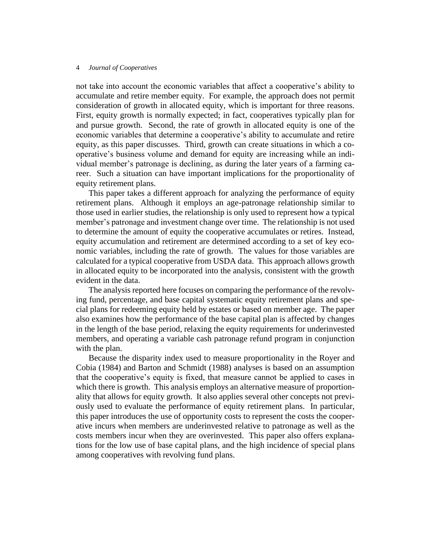not take into account the economic variables that affect a cooperative's ability to accumulate and retire member equity. For example, the approach does not permit consideration of growth in allocated equity, which is important for three reasons. First, equity growth is normally expected; in fact, cooperatives typically plan for and pursue growth. Second, the rate of growth in allocated equity is one of the economic variables that determine a cooperative's ability to accumulate and retire equity, as this paper discusses. Third, growth can create situations in which a cooperative's business volume and demand for equity are increasing while an individual member's patronage is declining, as during the later years of a farming career. Such a situation can have important implications for the proportionality of equity retirement plans.

This paper takes a different approach for analyzing the performance of equity retirement plans. Although it employs an age-patronage relationship similar to those used in earlier studies, the relationship is only used to represent how a typical member's patronage and investment change over time. The relationship is not used to determine the amount of equity the cooperative accumulates or retires. Instead, equity accumulation and retirement are determined according to a set of key economic variables, including the rate of growth. The values for those variables are calculated for a typical cooperative from USDA data. This approach allows growth in allocated equity to be incorporated into the analysis, consistent with the growth evident in the data.

The analysis reported here focuses on comparing the performance of the revolving fund, percentage, and base capital systematic equity retirement plans and special plans for redeeming equity held by estates or based on member age. The paper also examines how the performance of the base capital plan is affected by changes in the length of the base period, relaxing the equity requirements for underinvested members, and operating a variable cash patronage refund program in conjunction with the plan.

Because the disparity index used to measure proportionality in the Royer and Cobia (1984) and Barton and Schmidt (1988) analyses is based on an assumption that the cooperative's equity is fixed, that measure cannot be applied to cases in which there is growth. This analysis employs an alternative measure of proportionality that allows for equity growth. It also applies several other concepts not previously used to evaluate the performance of equity retirement plans. In particular, this paper introduces the use of opportunity costs to represent the costs the cooperative incurs when members are underinvested relative to patronage as well as the costs members incur when they are overinvested. This paper also offers explanations for the low use of base capital plans, and the high incidence of special plans among cooperatives with revolving fund plans.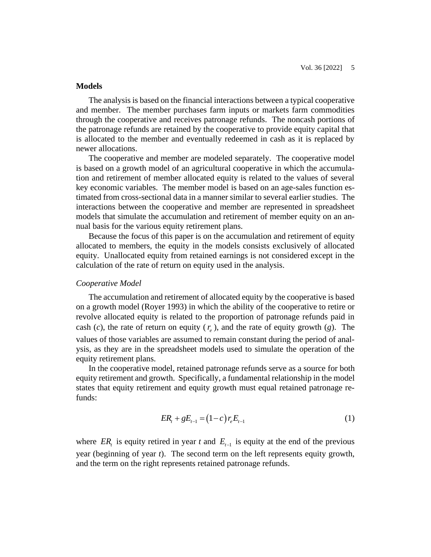# **Models**

The analysis is based on the financial interactions between a typical cooperative and member. The member purchases farm inputs or markets farm commodities through the cooperative and receives patronage refunds. The noncash portions of the patronage refunds are retained by the cooperative to provide equity capital that is allocated to the member and eventually redeemed in cash as it is replaced by newer allocations.

The cooperative and member are modeled separately. The cooperative model is based on a growth model of an agricultural cooperative in which the accumulation and retirement of member allocated equity is related to the values of several key economic variables. The member model is based on an age-sales function estimated from cross-sectional data in a manner similar to several earlier studies. The interactions between the cooperative and member are represented in spreadsheet models that simulate the accumulation and retirement of member equity on an annual basis for the various equity retirement plans.

Because the focus of this paper is on the accumulation and retirement of equity allocated to members, the equity in the models consists exclusively of allocated equity. Unallocated equity from retained earnings is not considered except in the calculation of the rate of return on equity used in the analysis.

# *Cooperative Model*

The accumulation and retirement of allocated equity by the cooperative is based on a growth model (Royer 1993) in which the ability of the cooperative to retire or revolve allocated equity is related to the proportion of patronage refunds paid in cash (c), the rate of return on equity  $(r_e)$ , and the rate of equity growth (g). The values of those variables are assumed to remain constant during the period of analysis, as they are in the spreadsheet models used to simulate the operation of the equity retirement plans.

In the cooperative model, retained patronage refunds serve as a source for both equity retirement and growth. Specifically, a fundamental relationship in the model states that equity retirement and equity growth must equal retained patronage refunds:

$$
ER_t + gE_{t-1} = (1-c)r_eE_{t-1}
$$
\n(1)

where  $ER<sub>t</sub>$  is equity retired in year *t* and  $E<sub>t-1</sub>$  is equity at the end of the previous year (beginning of year *t*). The second term on the left represents equity growth, and the term on the right represents retained patronage refunds.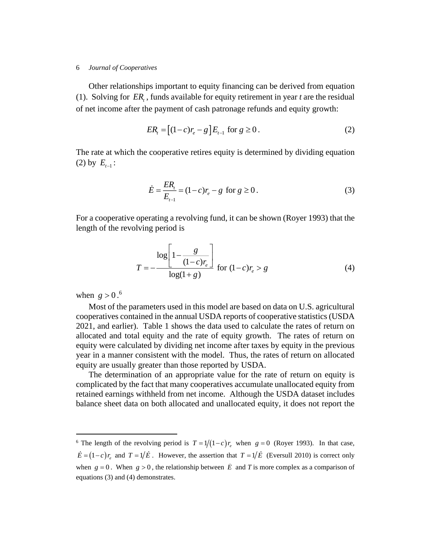Other relationships important to equity financing can be derived from equation (1). Solving for  $ER<sub>t</sub>$ , funds available for equity retirement in year *t* are the residual of net income after the payment of cash patronage refunds and equity growth:

$$
ER_t = [(1-c)r_e - g]E_{t-1} \text{ for } g \ge 0. \tag{2}
$$

The rate at which the cooperative retires equity is determined by dividing equation (2) by  $E_{t-1}$ :

$$
\dot{E} = \frac{ER_{t}}{E_{t-1}} = (1-c)r_{e} - g \text{ for } g \ge 0.
$$
\n(3)

For a cooperative operating a revolving fund, it can be shown (Royer 1993) that the length of the revolving period is

$$
T = -\frac{\log\left[1 - \frac{g}{(1 - c)r_e}\right]}{\log(1 + g)} \quad \text{for } (1 - c)r_e > g \tag{4}
$$

when  $g > 0.6$ 

Most of the parameters used in this model are based on data on U.S. agricultural cooperatives contained in the annual USDA reports of cooperative statistics (USDA 2021, and earlier). Table 1 shows the data used to calculate the rates of return on allocated and total equity and the rate of equity growth. The rates of return on equity were calculated by dividing net income after taxes by equity in the previous year in a manner consistent with the model. Thus, the rates of return on allocated equity are usually greater than those reported by USDA.

The determination of an appropriate value for the rate of return on equity is complicated by the fact that many cooperatives accumulate unallocated equity from retained earnings withheld from net income. Although the USDA dataset includes balance sheet data on both allocated and unallocated equity, it does not report the

<sup>&</sup>lt;sup>6</sup> The length of the revolving period is  $T = 1/(1-c)r_e$  when  $g = 0$  (Royer 1993). In that case,  $\vec{E} = (1-c)r_e$  and  $T = 1/\vec{E}$ . However, the assertion that  $T = 1/\vec{E}$  (Eversull 2010) is correct only when  $g = 0$ . When  $g > 0$ , the relationship between  $\hat{E}$  and *T* is more complex as a comparison of equations (3) and (4) demonstrates.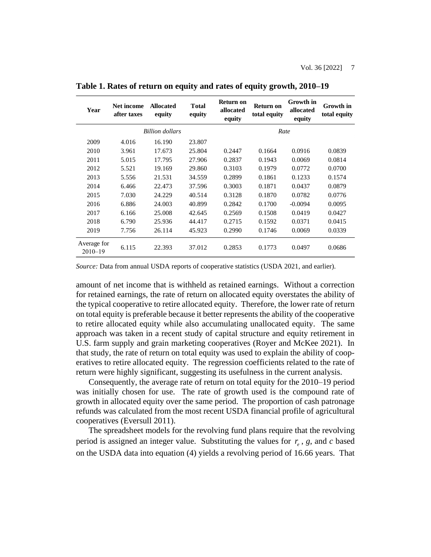| Year                       | Net income<br>after taxes | <b>Allocated</b><br>equity | <b>Total</b><br>equity | Return on<br>allocated<br>equity | Return on<br>total equity | Growth in<br>allocated<br>equity | Growth in<br>total equity |
|----------------------------|---------------------------|----------------------------|------------------------|----------------------------------|---------------------------|----------------------------------|---------------------------|
|                            |                           | <b>Billion</b> dollars     |                        |                                  | Rate                      |                                  |                           |
| 2009                       | 4.016                     | 16.190                     | 23.807                 |                                  |                           |                                  |                           |
| 2010                       | 3.961                     | 17.673                     | 25.804                 | 0.2447                           | 0.1664                    | 0.0916                           | 0.0839                    |
| 2011                       | 5.015                     | 17.795                     | 27.906                 | 0.2837                           | 0.1943                    | 0.0069                           | 0.0814                    |
| 2012                       | 5.521                     | 19.169                     | 29.860                 | 0.3103                           | 0.1979                    | 0.0772                           | 0.0700                    |
| 2013                       | 5.556                     | 21.531                     | 34.559                 | 0.2899                           | 0.1861                    | 0.1233                           | 0.1574                    |
| 2014                       | 6.466                     | 22.473                     | 37.596                 | 0.3003                           | 0.1871                    | 0.0437                           | 0.0879                    |
| 2015                       | 7.030                     | 24.229                     | 40.514                 | 0.3128                           | 0.1870                    | 0.0782                           | 0.0776                    |
| 2016                       | 6.886                     | 24.003                     | 40.899                 | 0.2842                           | 0.1700                    | $-0.0094$                        | 0.0095                    |
| 2017                       | 6.166                     | 25.008                     | 42.645                 | 0.2569                           | 0.1508                    | 0.0419                           | 0.0427                    |
| 2018                       | 6.790                     | 25.936                     | 44.417                 | 0.2715                           | 0.1592                    | 0.0371                           | 0.0415                    |
| 2019                       | 7.756                     | 26.114                     | 45.923                 | 0.2990                           | 0.1746                    | 0.0069                           | 0.0339                    |
| Average for<br>$2010 - 19$ | 6.115                     | 22.393                     | 37.012                 | 0.2853                           | 0.1773                    | 0.0497                           | 0.0686                    |

**Table 1. Rates of return on equity and rates of equity growth, 2010–19**

*Source:* Data from annual USDA reports of cooperative statistics (USDA 2021, and earlier).

amount of net income that is withheld as retained earnings. Without a correction for retained earnings, the rate of return on allocated equity overstates the ability of the typical cooperative to retire allocated equity. Therefore, the lower rate of return on total equity is preferable because it better represents the ability of the cooperative to retire allocated equity while also accumulating unallocated equity. The same approach was taken in a recent study of capital structure and equity retirement in U.S. farm supply and grain marketing cooperatives (Royer and McKee 2021). In that study, the rate of return on total equity was used to explain the ability of cooperatives to retire allocated equity. The regression coefficients related to the rate of return were highly significant, suggesting its usefulness in the current analysis.

Consequently, the average rate of return on total equity for the 2010–19 period was initially chosen for use. The rate of growth used is the compound rate of growth in allocated equity over the same period. The proportion of cash patronage refunds was calculated from the most recent USDA financial profile of agricultural cooperatives (Eversull 2011).

The spreadsheet models for the revolving fund plans require that the revolving period is assigned an integer value. Substituting the values for  $r_e$ ,  $g$ , and  $c$  based on the USDA data into equation (4) yields a revolving period of 16.66 years. That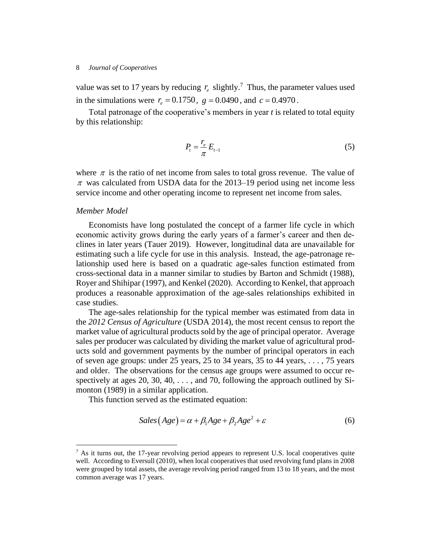value was set to 17 years by reducing  $r_e$  slightly.<sup>7</sup> Thus, the parameter values used in the simulations were  $r_e = 0.1750$ ,  $g = 0.0490$ , and  $c = 0.4970$ .

Total patronage of the cooperative's members in year *t* is related to total equity by this relationship:

$$
P_t = \frac{r_e}{\pi} E_{t-1} \tag{5}
$$

where  $\pi$  is the ratio of net income from sales to total gross revenue. The value of  $\pi$  was calculated from USDA data for the 2013–19 period using net income less service income and other operating income to represent net income from sales.

# *Member Model*

Economists have long postulated the concept of a farmer life cycle in which economic activity grows during the early years of a farmer's career and then declines in later years (Tauer 2019). However, longitudinal data are unavailable for estimating such a life cycle for use in this analysis. Instead, the age-patronage relationship used here is based on a quadratic age-sales function estimated from cross-sectional data in a manner similar to studies by Barton and Schmidt (1988), Royer and Shihipar (1997), and Kenkel (2020). According to Kenkel, that approach produces a reasonable approximation of the age-sales relationships exhibited in case studies.

The age-sales relationship for the typical member was estimated from data in the *2012 Census of Agriculture* (USDA 2014), the most recent census to report the market value of agricultural products sold by the age of principal operator. Average sales per producer was calculated by dividing the market value of agricultural products sold and government payments by the number of principal operators in each of seven age groups: under 25 years, 25 to 34 years, 35 to 44 years, . . . , 75 years and older. The observations for the census age groups were assumed to occur respectively at ages 20, 30, 40, ..., and 70, following the approach outlined by Simonton (1989) in a similar application.

This function served as the estimated equation:

$$
Sales(Age) = \alpha + \beta_1 Age + \beta_2 Age^2 + \varepsilon
$$
 (6)

 $<sup>7</sup>$  As it turns out, the 17-year revolving period appears to represent U.S. local cooperatives quite</sup> well. According to Eversull (2010), when local cooperatives that used revolving fund plans in 2008 were grouped by total assets, the average revolving period ranged from 13 to 18 years, and the most common average was 17 years.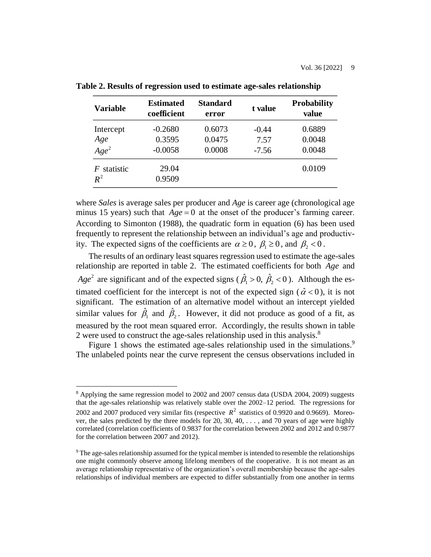| <b>Variable</b>             | <b>Estimated</b><br>coefficient  | Standard<br>error          | t value                    | <b>Probability</b><br>value |
|-----------------------------|----------------------------------|----------------------------|----------------------------|-----------------------------|
| Intercept<br>Age<br>$Age^2$ | $-0.2680$<br>0.3595<br>$-0.0058$ | 0.6073<br>0.0475<br>0.0008 | $-0.44$<br>7.57<br>$-7.56$ | 0.6889<br>0.0048<br>0.0048  |
| statistic<br>F<br>$R^2$     | 29.04<br>0.9509                  |                            |                            | 0.0109                      |

**Table 2. Results of regression used to estimate age-sales relationship**

where *Sales* is average sales per producer and *Age* is career age (chronological age minus 15 years) such that  $Age = 0$  at the onset of the producer's farming career. According to Simonton (1988), the quadratic form in equation (6) has been used frequently to represent the relationship between an individual's age and productivity. The expected signs of the coefficients are  $\alpha \ge 0$ ,  $\beta_1 \ge 0$ , and  $\beta_2 < 0$ .

The results of an ordinary least squares regression used to estimate the age-sales relationship are reported in table 2. The estimated coefficients for both *Age* and  $Age^2$  are significant and of the expected signs ( $\hat{\beta}_1 > 0$ ,  $\hat{\beta}_2$ )  $\hat{\beta}_1 > 0$ ,  $\hat{\beta}_2 < 0$ ). Although the estimated coefficient for the intercept is not of the expected sign ( $\hat{\alpha}$  < 0), it is not significant. The estimation of an alternative model without an intercept yielded similar values for  $\hat{\beta}_1$  and  $\hat{\beta}_2$ . However, it did not produce as good of a fit, as measured by the root mean squared error. Accordingly, the results shown in table 2 were used to construct the age-sales relationship used in this analysis.<sup>8</sup>

Figure 1 shows the estimated age-sales relationship used in the simulations.<sup>9</sup> The unlabeled points near the curve represent the census observations included in

<sup>&</sup>lt;sup>8</sup> Applying the same regression model to 2002 and 2007 census data (USDA 2004, 2009) suggests that the age-sales relationship was relatively stable over the 2002–12 period. The regressions for 2002 and 2007 produced very similar fits (respective  $R^2$  statistics of 0.9920 and 0.9669). Moreover, the sales predicted by the three models for 20, 30, 40, . . . , and 70 years of age were highly correlated (correlation coefficients of 0.9837 for the correlation between 2002 and 2012 and 0.9877 for the correlation between 2007 and 2012).

<sup>9</sup> The age-sales relationship assumed for the typical member is intended to resemble the relationships one might commonly observe among lifelong members of the cooperative. It is not meant as an average relationship representative of the organization's overall membership because the age-sales relationships of individual members are expected to differ substantially from one another in terms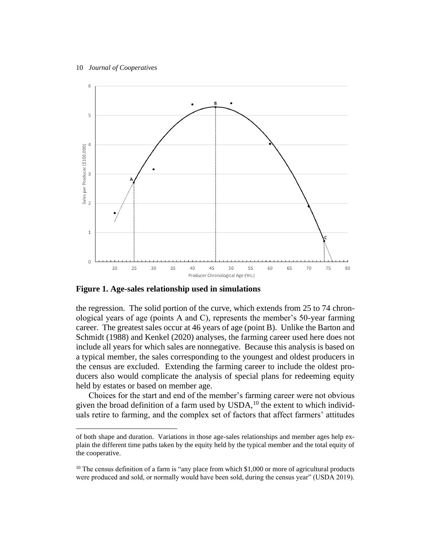

**Figure 1. Age-sales relationship used in simulations**

the regression. The solid portion of the curve, which extends from 25 to 74 chronological years of age (points A and C), represents the member's 50-year farming career. The greatest sales occur at 46 years of age (point B). Unlike the Barton and Schmidt (1988) and Kenkel (2020) analyses, the farming career used here does not include all years for which sales are nonnegative. Because this analysis is based on a typical member, the sales corresponding to the youngest and oldest producers in the census are excluded. Extending the farming career to include the oldest producers also would complicate the analysis of special plans for redeeming equity held by estates or based on member age.

Choices for the start and end of the member's farming career were not obvious given the broad definition of a farm used by  $\text{USDA}$ ,<sup>10</sup> the extent to which individuals retire to farming, and the complex set of factors that affect farmers' attitudes

of both shape and duration. Variations in those age-sales relationships and member ages help explain the different time paths taken by the equity held by the typical member and the total equity of the cooperative.

 $10$  The census definition of a farm is "any place from which \$1,000 or more of agricultural products were produced and sold, or normally would have been sold, during the census year" (USDA 2019).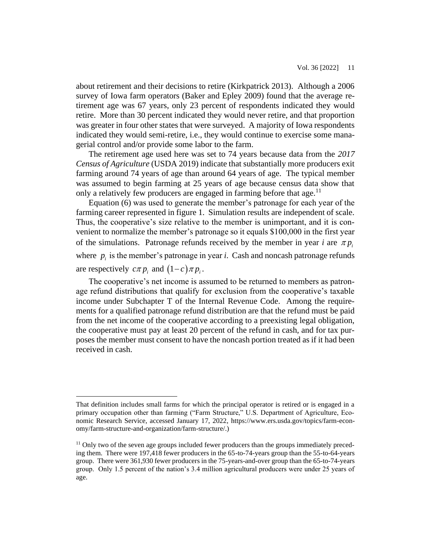about retirement and their decisions to retire (Kirkpatrick 2013). Although a 2006 survey of Iowa farm operators (Baker and Epley 2009) found that the average retirement age was 67 years, only 23 percent of respondents indicated they would retire. More than 30 percent indicated they would never retire, and that proportion was greater in four other states that were surveyed. A majority of Iowa respondents indicated they would semi-retire, i.e., they would continue to exercise some managerial control and/or provide some labor to the farm.

The retirement age used here was set to 74 years because data from the *2017 Census of Agriculture* (USDA 2019) indicate that substantially more producers exit farming around 74 years of age than around 64 years of age. The typical member was assumed to begin farming at 25 years of age because census data show that only a relatively few producers are engaged in farming before that age.<sup>11</sup>

Equation (6) was used to generate the member's patronage for each year of the farming career represented in figure 1. Simulation results are independent of scale. Thus, the cooperative's size relative to the member is unimportant, and it is convenient to normalize the member's patronage so it equals \$100,000 in the first year of the simulations. Patronage refunds received by the member in year *i* are  $\pi p_i$ where  $p_i$  is the member's patronage in year *i*. Cash and noncash patronage refunds are respectively  $c\pi p_i$  and  $(1-c)\pi p_i$ .

The cooperative's net income is assumed to be returned to members as patronage refund distributions that qualify for exclusion from the cooperative's taxable income under Subchapter T of the Internal Revenue Code. Among the requirements for a qualified patronage refund distribution are that the refund must be paid from the net income of the cooperative according to a preexisting legal obligation, the cooperative must pay at least 20 percent of the refund in cash, and for tax purposes the member must consent to have the noncash portion treated as if it had been received in cash.

That definition includes small farms for which the principal operator is retired or is engaged in a primary occupation other than farming ("Farm Structure," U.S. Department of Agriculture, Economic Research Service, accessed January 17, 2022, https://www.ers.usda.gov/topics/farm-economy/farm-structure-and-organization/farm-structure/.)

<sup>&</sup>lt;sup>11</sup> Only two of the seven age groups included fewer producers than the groups immediately preceding them. There were 197,418 fewer producers in the 65-to-74-years group than the 55-to-64-years group. There were 361,930 fewer producers in the 75-years-and-over group than the 65-to-74-years group. Only 1.5 percent of the nation's 3.4 million agricultural producers were under 25 years of age.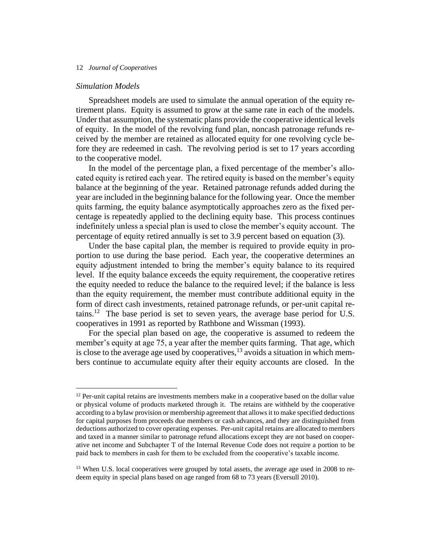# *Simulation Models*

Spreadsheet models are used to simulate the annual operation of the equity retirement plans. Equity is assumed to grow at the same rate in each of the models. Under that assumption, the systematic plans provide the cooperative identical levels of equity. In the model of the revolving fund plan, noncash patronage refunds received by the member are retained as allocated equity for one revolving cycle before they are redeemed in cash. The revolving period is set to 17 years according to the cooperative model.

In the model of the percentage plan, a fixed percentage of the member's allocated equity is retired each year. The retired equity is based on the member's equity balance at the beginning of the year. Retained patronage refunds added during the year are included in the beginning balance for the following year. Once the member quits farming, the equity balance asymptotically approaches zero as the fixed percentage is repeatedly applied to the declining equity base. This process continues indefinitely unless a special plan is used to close the member's equity account. The percentage of equity retired annually is set to 3.9 percent based on equation (3).

Under the base capital plan, the member is required to provide equity in proportion to use during the base period. Each year, the cooperative determines an equity adjustment intended to bring the member's equity balance to its required level. If the equity balance exceeds the equity requirement, the cooperative retires the equity needed to reduce the balance to the required level; if the balance is less than the equity requirement, the member must contribute additional equity in the form of direct cash investments, retained patronage refunds, or per-unit capital retains.<sup>12</sup> The base period is set to seven years, the average base period for U.S. cooperatives in 1991 as reported by Rathbone and Wissman (1993).

For the special plan based on age, the cooperative is assumed to redeem the member's equity at age 75, a year after the member quits farming. That age, which is close to the average age used by cooperatives, $^{13}$  avoids a situation in which members continue to accumulate equity after their equity accounts are closed. In the

 $12$  Per-unit capital retains are investments members make in a cooperative based on the dollar value or physical volume of products marketed through it. The retains are withheld by the cooperative according to a bylaw provision or membership agreement that allows it to make specified deductions for capital purposes from proceeds due members or cash advances, and they are distinguished from deductions authorized to cover operating expenses. Per-unit capital retains are allocated to members and taxed in a manner similar to patronage refund allocations except they are not based on cooperative net income and Subchapter T of the Internal Revenue Code does not require a portion to be paid back to members in cash for them to be excluded from the cooperative's taxable income.

<sup>&</sup>lt;sup>13</sup> When U.S. local cooperatives were grouped by total assets, the average age used in 2008 to redeem equity in special plans based on age ranged from 68 to 73 years (Eversull 2010).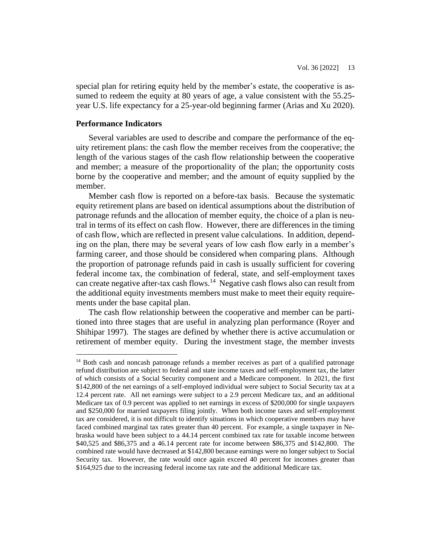special plan for retiring equity held by the member's estate, the cooperative is assumed to redeem the equity at 80 years of age, a value consistent with the 55.25year U.S. life expectancy for a 25-year-old beginning farmer (Arias and Xu 2020).

# **Performance Indicators**

Several variables are used to describe and compare the performance of the equity retirement plans: the cash flow the member receives from the cooperative; the length of the various stages of the cash flow relationship between the cooperative and member; a measure of the proportionality of the plan; the opportunity costs borne by the cooperative and member; and the amount of equity supplied by the member.

Member cash flow is reported on a before-tax basis. Because the systematic equity retirement plans are based on identical assumptions about the distribution of patronage refunds and the allocation of member equity, the choice of a plan is neutral in terms of its effect on cash flow. However, there are differences in the timing of cash flow, which are reflected in present value calculations. In addition, depending on the plan, there may be several years of low cash flow early in a member's farming career, and those should be considered when comparing plans. Although the proportion of patronage refunds paid in cash is usually sufficient for covering federal income tax, the combination of federal, state, and self-employment taxes can create negative after-tax cash flows.<sup>14</sup> Negative cash flows also can result from the additional equity investments members must make to meet their equity requirements under the base capital plan.

The cash flow relationship between the cooperative and member can be partitioned into three stages that are useful in analyzing plan performance (Royer and Shihipar 1997). The stages are defined by whether there is active accumulation or retirement of member equity. During the investment stage, the member invests

<sup>&</sup>lt;sup>14</sup> Both cash and noncash patronage refunds a member receives as part of a qualified patronage refund distribution are subject to federal and state income taxes and self-employment tax, the latter of which consists of a Social Security component and a Medicare component. In 2021, the first \$142,800 of the net earnings of a self-employed individual were subject to Social Security tax at a 12.4 percent rate. All net earnings were subject to a 2.9 percent Medicare tax, and an additional Medicare tax of 0.9 percent was applied to net earnings in excess of \$200,000 for single taxpayers and \$250,000 for married taxpayers filing jointly. When both income taxes and self-employment tax are considered, it is not difficult to identify situations in which cooperative members may have faced combined marginal tax rates greater than 40 percent. For example, a single taxpayer in Nebraska would have been subject to a 44.14 percent combined tax rate for taxable income between \$40,525 and \$86,375 and a 46.14 percent rate for income between \$86,375 and \$142,800. The combined rate would have decreased at \$142,800 because earnings were no longer subject to Social Security tax. However, the rate would once again exceed 40 percent for incomes greater than \$164,925 due to the increasing federal income tax rate and the additional Medicare tax.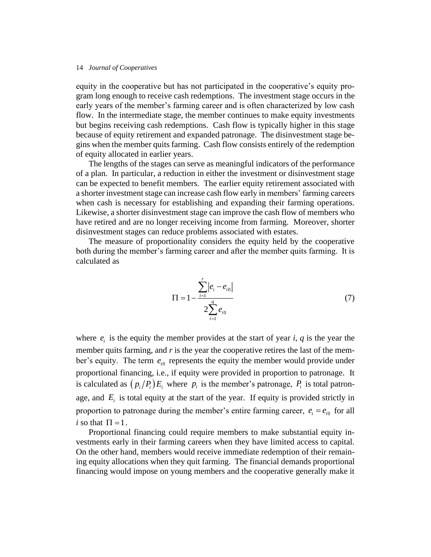equity in the cooperative but has not participated in the cooperative's equity program long enough to receive cash redemptions. The investment stage occurs in the early years of the member's farming career and is often characterized by low cash flow. In the intermediate stage, the member continues to make equity investments but begins receiving cash redemptions. Cash flow is typically higher in this stage because of equity retirement and expanded patronage. The disinvestment stage begins when the member quits farming. Cash flow consists entirely of the redemption of equity allocated in earlier years.

The lengths of the stages can serve as meaningful indicators of the performance of a plan. In particular, a reduction in either the investment or disinvestment stage can be expected to benefit members. The earlier equity retirement associated with a shorter investment stage can increase cash flow early in members' farming careers when cash is necessary for establishing and expanding their farming operations. Likewise, a shorter disinvestment stage can improve the cash flow of members who have retired and are no longer receiving income from farming. Moreover, shorter disinvestment stages can reduce problems associated with estates.

The measure of proportionality considers the equity held by the cooperative both during the member's farming career and after the member quits farming. It is calculated as

$$
\Pi = 1 - \frac{\sum_{i=1}^{r} |e_i - e_{i0}|}{2 \sum_{i=1}^{q} e_{i0}}
$$
\n(7)

where  $e_i$  is the equity the member provides at the start of year *i*, *q* is the year the member quits farming, and  $r$  is the year the cooperative retires the last of the member's equity. The term  $e_{i0}$  represents the equity the member would provide under proportional financing, i.e., if equity were provided in proportion to patronage. It is calculated as  $\left(\frac{p_i}{P_i}\right)E_i$  where  $p_i$  is the member's patronage,  $P_i$  is total patronage, and  $E_i$  is total equity at the start of the year. If equity is provided strictly in proportion to patronage during the member's entire farming career,  $e_i = e_{i0}$  for all *i* so that  $\Pi = 1$ .

Proportional financing could require members to make substantial equity investments early in their farming careers when they have limited access to capital. On the other hand, members would receive immediate redemption of their remaining equity allocations when they quit farming. The financial demands proportional financing would impose on young members and the cooperative generally make it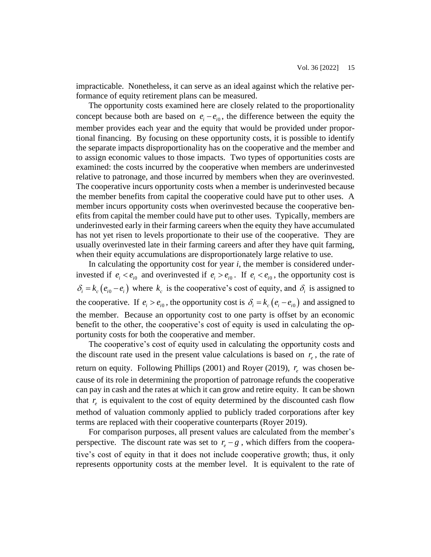impracticable. Nonetheless, it can serve as an ideal against which the relative performance of equity retirement plans can be measured.

The opportunity costs examined here are closely related to the proportionality concept because both are based on  $e_i - e_{i0}$ , the difference between the equity the member provides each year and the equity that would be provided under proportional financing. By focusing on these opportunity costs, it is possible to identify the separate impacts disproportionality has on the cooperative and the member and to assign economic values to those impacts. Two types of opportunities costs are examined: the costs incurred by the cooperative when members are underinvested relative to patronage, and those incurred by members when they are overinvested. The cooperative incurs opportunity costs when a member is underinvested because the member benefits from capital the cooperative could have put to other uses. A member incurs opportunity costs when overinvested because the cooperative benefits from capital the member could have put to other uses. Typically, members are underinvested early in their farming careers when the equity they have accumulated has not yet risen to levels proportionate to their use of the cooperative. They are usually overinvested late in their farming careers and after they have quit farming, when their equity accumulations are disproportionately large relative to use.

In calculating the opportunity cost for year *i*, the member is considered underinvested if  $e_i < e_{i0}$  and overinvested if  $e_i > e_{i0}$ . If  $e_i < e_{i0}$ , the opportunity cost is  $\delta_i = k_c (e_{i0} - e_i)$  where  $k_c$  is the cooperative's cost of equity, and  $\delta_i$  is assigned to the cooperative. If  $e_i > e_{i0}$ , the opportunity cost is  $\delta_i = k_c (e_i - e_{i0})$  and assigned to the member. Because an opportunity cost to one party is offset by an economic benefit to the other, the cooperative's cost of equity is used in calculating the opportunity costs for both the cooperative and member.

The cooperative's cost of equity used in calculating the opportunity costs and the discount rate used in the present value calculations is based on  $r_e$ , the rate of return on equity. Following Phillips (2001) and Royer (2019),  $r_e$  was chosen because of its role in determining the proportion of patronage refunds the cooperative can pay in cash and the rates at which it can grow and retire equity. It can be shown that  $r_e$  is equivalent to the cost of equity determined by the discounted cash flow method of valuation commonly applied to publicly traded corporations after key terms are replaced with their cooperative counterparts (Royer 2019).

For comparison purposes, all present values are calculated from the member's perspective. The discount rate was set to  $r_e - g$ , which differs from the cooperative's cost of equity in that it does not include cooperative growth; thus, it only represents opportunity costs at the member level. It is equivalent to the rate of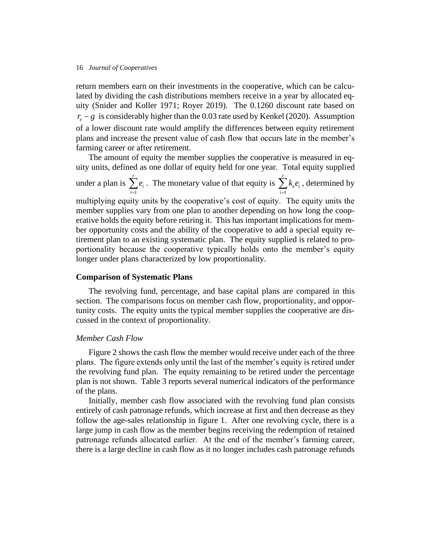return members earn on their investments in the cooperative, which can be calculated by dividing the cash distributions members receive in a year by allocated equity (Snider and Koller 1971; Royer 2019). The 0.1260 discount rate based on  $r_e - g$  is considerably higher than the 0.03 rate used by Kenkel (2020). Assumption of a lower discount rate would amplify the differences between equity retirement plans and increase the present value of cash flow that occurs late in the member's farming career or after retirement.

The amount of equity the member supplies the cooperative is measured in equity units, defined as one dollar of equity held for one year. Total equity supplied

under a plan is 1 *r i i e*  $\sum_{i=1}^{n} e_i$ . The monetary value of that equity is 1 *r e i i k e*  $\sum_{i=1} k_e e_i$ , determined by multiplying equity units by the cooperative's cost of equity. The equity units the member supplies vary from one plan to another depending on how long the cooperative holds the equity before retiring it. This has important implications for member opportunity costs and the ability of the cooperative to add a special equity retirement plan to an existing systematic plan. The equity supplied is related to proportionality because the cooperative typically holds onto the member's equity longer under plans characterized by low proportionality.

# **Comparison of Systematic Plans**

The revolving fund, percentage, and base capital plans are compared in this section. The comparisons focus on member cash flow, proportionality, and opportunity costs. The equity units the typical member supplies the cooperative are discussed in the context of proportionality.

# *Member Cash Flow*

Figure 2 shows the cash flow the member would receive under each of the three plans. The figure extends only until the last of the member's equity is retired under the revolving fund plan. The equity remaining to be retired under the percentage plan is not shown. Table 3 reports several numerical indicators of the performance of the plans.

Initially, member cash flow associated with the revolving fund plan consists entirely of cash patronage refunds, which increase at first and then decrease as they follow the age-sales relationship in figure 1. After one revolving cycle, there is a large jump in cash flow as the member begins receiving the redemption of retained patronage refunds allocated earlier. At the end of the member's farming career, there is a large decline in cash flow as it no longer includes cash patronage refunds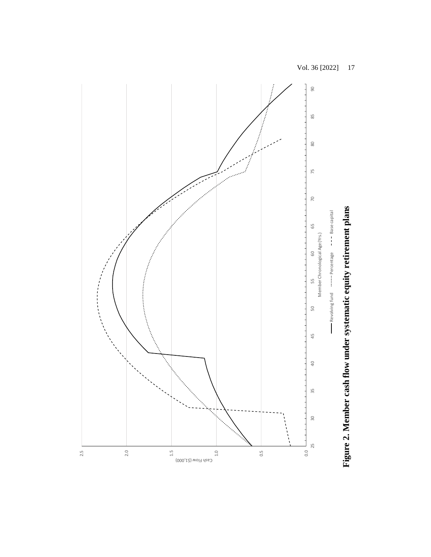

Figure 2. Member cash flow under systematic equity retirement plans **Figure 2. Member cash flow under systematic equity retirement plans**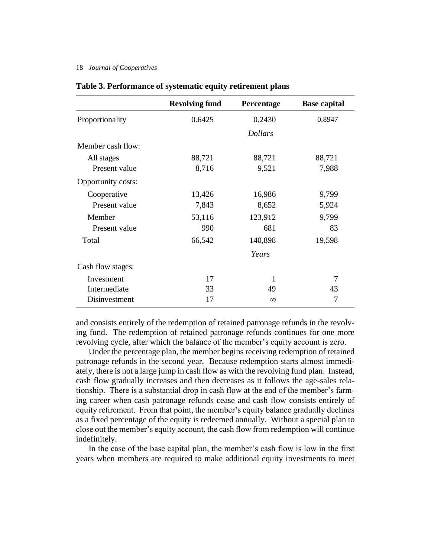|                    | <b>Revolving fund</b> | Percentage     | <b>Base capital</b> |
|--------------------|-----------------------|----------------|---------------------|
| Proportionality    | 0.6425                | 0.2430         | 0.8947              |
|                    |                       | <b>Dollars</b> |                     |
| Member cash flow:  |                       |                |                     |
| All stages         | 88,721                | 88,721         | 88,721              |
| Present value      | 8,716                 | 9,521          | 7,988               |
| Opportunity costs: |                       |                |                     |
| Cooperative        | 13,426                | 16,986         | 9,799               |
| Present value      | 7,843                 | 8,652          | 5,924               |
| Member             | 53,116                | 123,912        | 9,799               |
| Present value      | 990                   | 681            | 83                  |
| Total              | 66,542                | 140,898        | 19,598              |
|                    |                       | Years          |                     |
| Cash flow stages:  |                       |                |                     |
| Investment         | 17                    | 1              | 7                   |
| Intermediate       | 33                    | 49             | 43                  |
| Disinvestment      | 17                    | $\infty$       | 7                   |

# **Table 3. Performance of systematic equity retirement plans**

and consists entirely of the redemption of retained patronage refunds in the revolving fund. The redemption of retained patronage refunds continues for one more revolving cycle, after which the balance of the member's equity account is zero.

Under the percentage plan, the member begins receiving redemption of retained patronage refunds in the second year. Because redemption starts almost immediately, there is not a large jump in cash flow as with the revolving fund plan. Instead, cash flow gradually increases and then decreases as it follows the age-sales relationship. There is a substantial drop in cash flow at the end of the member's farming career when cash patronage refunds cease and cash flow consists entirely of equity retirement. From that point, the member's equity balance gradually declines as a fixed percentage of the equity is redeemed annually. Without a special plan to close out the member's equity account, the cash flow from redemption will continue indefinitely.

In the case of the base capital plan, the member's cash flow is low in the first years when members are required to make additional equity investments to meet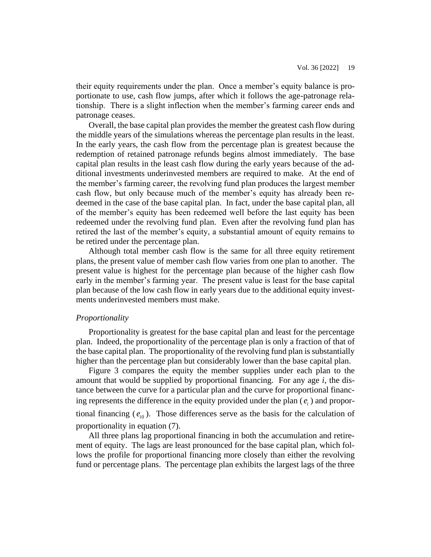their equity requirements under the plan. Once a member's equity balance is proportionate to use, cash flow jumps, after which it follows the age-patronage relationship. There is a slight inflection when the member's farming career ends and patronage ceases.

Overall, the base capital plan provides the member the greatest cash flow during the middle years of the simulations whereas the percentage plan results in the least. In the early years, the cash flow from the percentage plan is greatest because the redemption of retained patronage refunds begins almost immediately. The base capital plan results in the least cash flow during the early years because of the additional investments underinvested members are required to make. At the end of the member's farming career, the revolving fund plan produces the largest member cash flow, but only because much of the member's equity has already been redeemed in the case of the base capital plan. In fact, under the base capital plan, all of the member's equity has been redeemed well before the last equity has been redeemed under the revolving fund plan. Even after the revolving fund plan has retired the last of the member's equity, a substantial amount of equity remains to be retired under the percentage plan.

Although total member cash flow is the same for all three equity retirement plans, the present value of member cash flow varies from one plan to another. The present value is highest for the percentage plan because of the higher cash flow early in the member's farming year. The present value is least for the base capital plan because of the low cash flow in early years due to the additional equity investments underinvested members must make.

# *Proportionality*

Proportionality is greatest for the base capital plan and least for the percentage plan. Indeed, the proportionality of the percentage plan is only a fraction of that of the base capital plan. The proportionality of the revolving fund plan is substantially higher than the percentage plan but considerably lower than the base capital plan.

Figure 3 compares the equity the member supplies under each plan to the amount that would be supplied by proportional financing. For any age *i*, the distance between the curve for a particular plan and the curve for proportional financing represents the difference in the equity provided under the plan  $(e_i)$  and proportional financing  $(e_{i0})$ . Those differences serve as the basis for the calculation of proportionality in equation (7).

All three plans lag proportional financing in both the accumulation and retirement of equity. The lags are least pronounced for the base capital plan, which follows the profile for proportional financing more closely than either the revolving fund or percentage plans. The percentage plan exhibits the largest lags of the three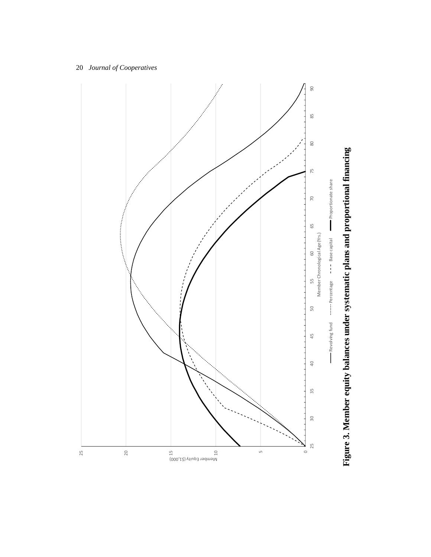

# Figure 3. Member equity balances under systematic plans and proportional financing **Figure 3. Member equity balances under systematic plans and proportional financing**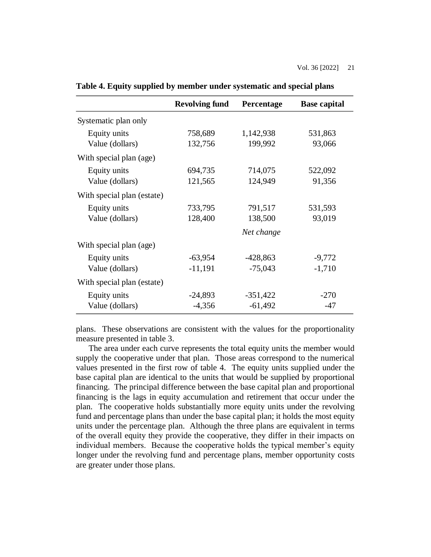|                            | <b>Revolving fund</b> | Percentage | <b>Base capital</b> |
|----------------------------|-----------------------|------------|---------------------|
| Systematic plan only       |                       |            |                     |
| Equity units               | 758,689               | 1,142,938  | 531,863             |
| Value (dollars)            | 132,756               | 199,992    | 93,066              |
| With special plan (age)    |                       |            |                     |
| Equity units               | 694,735               | 714,075    | 522,092             |
| Value (dollars)            | 121,565               | 124,949    | 91,356              |
| With special plan (estate) |                       |            |                     |
| Equity units               | 733,795               | 791,517    | 531,593             |
| Value (dollars)            | 128,400               | 138,500    | 93,019              |
|                            |                       | Net change |                     |
| With special plan (age)    |                       |            |                     |
| Equity units               | $-63,954$             | $-428,863$ | $-9,772$            |
| Value (dollars)            | $-11,191$             | $-75,043$  | $-1,710$            |
| With special plan (estate) |                       |            |                     |
| Equity units               | $-24,893$             | $-351,422$ | $-270$              |
| Value (dollars)            | $-4,356$              | $-61,492$  | $-47$               |

**Table 4. Equity supplied by member under systematic and special plans**

plans. These observations are consistent with the values for the proportionality measure presented in table 3.

The area under each curve represents the total equity units the member would supply the cooperative under that plan. Those areas correspond to the numerical values presented in the first row of table 4. The equity units supplied under the base capital plan are identical to the units that would be supplied by proportional financing. The principal difference between the base capital plan and proportional financing is the lags in equity accumulation and retirement that occur under the plan. The cooperative holds substantially more equity units under the revolving fund and percentage plans than under the base capital plan; it holds the most equity units under the percentage plan. Although the three plans are equivalent in terms of the overall equity they provide the cooperative, they differ in their impacts on individual members. Because the cooperative holds the typical member's equity longer under the revolving fund and percentage plans, member opportunity costs are greater under those plans.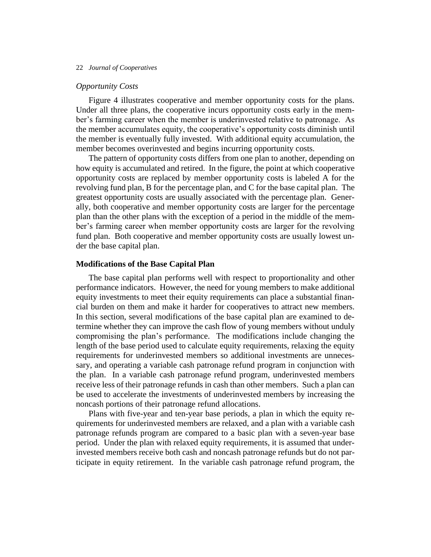# *Opportunity Costs*

Figure 4 illustrates cooperative and member opportunity costs for the plans. Under all three plans, the cooperative incurs opportunity costs early in the member's farming career when the member is underinvested relative to patronage. As the member accumulates equity, the cooperative's opportunity costs diminish until the member is eventually fully invested. With additional equity accumulation, the member becomes overinvested and begins incurring opportunity costs.

The pattern of opportunity costs differs from one plan to another, depending on how equity is accumulated and retired. In the figure, the point at which cooperative opportunity costs are replaced by member opportunity costs is labeled A for the revolving fund plan, B for the percentage plan, and C for the base capital plan. The greatest opportunity costs are usually associated with the percentage plan. Generally, both cooperative and member opportunity costs are larger for the percentage plan than the other plans with the exception of a period in the middle of the member's farming career when member opportunity costs are larger for the revolving fund plan. Both cooperative and member opportunity costs are usually lowest under the base capital plan.

# **Modifications of the Base Capital Plan**

The base capital plan performs well with respect to proportionality and other performance indicators. However, the need for young members to make additional equity investments to meet their equity requirements can place a substantial financial burden on them and make it harder for cooperatives to attract new members. In this section, several modifications of the base capital plan are examined to determine whether they can improve the cash flow of young members without unduly compromising the plan's performance. The modifications include changing the length of the base period used to calculate equity requirements, relaxing the equity requirements for underinvested members so additional investments are unnecessary, and operating a variable cash patronage refund program in conjunction with the plan. In a variable cash patronage refund program, underinvested members receive less of their patronage refunds in cash than other members. Such a plan can be used to accelerate the investments of underinvested members by increasing the noncash portions of their patronage refund allocations.

Plans with five-year and ten-year base periods, a plan in which the equity requirements for underinvested members are relaxed, and a plan with a variable cash patronage refunds program are compared to a basic plan with a seven-year base period. Under the plan with relaxed equity requirements, it is assumed that underinvested members receive both cash and noncash patronage refunds but do not participate in equity retirement. In the variable cash patronage refund program, the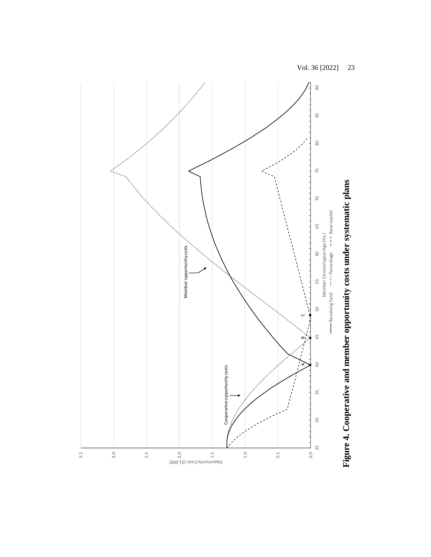$\overline{90}$ 25 30 35 40 45 50 55 60 65 70 75 80 85 90 85  $\rm 80$ 75 70 Revolving fund **Percentage -- Base capital** 65 Member Chronological Age (Yrs.) Member opportunity costs Member opportunity costs60 55 50  $\cup$  $\sum_{i=1}^{n}$ 45 ∞  $\overline{Q}$ Cooperative opportunity costs ACooperative opportunity costs  $\frac{5}{3}$  $30$ 25 3.5 3.0 2.5 1.0 0.5 0.0 2.0 1.5

Opportunity Costs (\$1,000)

Figure 4. Cooperative and member opportunity costs under systematic plans **Figure 4. Cooperative and member opportunity costs under systematic plans**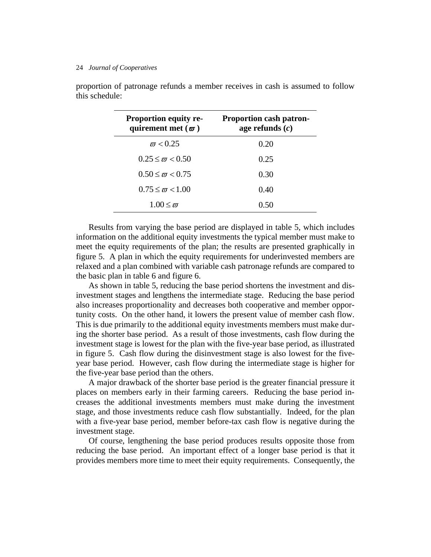| <b>Proportion equity re-</b><br>quirement met $(\varpi)$ | <b>Proportion cash patron-</b><br>age refunds $(c)$ |
|----------------------------------------------------------|-----------------------------------------------------|
| $\pi$ < 0.25                                             | 0.20                                                |
| $0.25 \leq \pi \leq 0.50$                                | 0.25                                                |
| $0.50 \leq \pi \leq 0.75$                                | 0.30                                                |
| $0.75 \leq \pi \leq 1.00$                                | 0.40                                                |
| $1.00 \leq \pi$                                          | 0.50                                                |

proportion of patronage refunds a member receives in cash is assumed to follow this schedule:

Results from varying the base period are displayed in table 5, which includes information on the additional equity investments the typical member must make to meet the equity requirements of the plan; the results are presented graphically in figure 5. A plan in which the equity requirements for underinvested members are relaxed and a plan combined with variable cash patronage refunds are compared to the basic plan in table 6 and figure 6.

As shown in table 5, reducing the base period shortens the investment and disinvestment stages and lengthens the intermediate stage. Reducing the base period also increases proportionality and decreases both cooperative and member opportunity costs. On the other hand, it lowers the present value of member cash flow. This is due primarily to the additional equity investments members must make during the shorter base period. As a result of those investments, cash flow during the investment stage is lowest for the plan with the five-year base period, as illustrated in figure 5. Cash flow during the disinvestment stage is also lowest for the fiveyear base period. However, cash flow during the intermediate stage is higher for the five-year base period than the others.

A major drawback of the shorter base period is the greater financial pressure it places on members early in their farming careers. Reducing the base period increases the additional investments members must make during the investment stage, and those investments reduce cash flow substantially. Indeed, for the plan with a five-year base period, member before-tax cash flow is negative during the investment stage.

Of course, lengthening the base period produces results opposite those from reducing the base period. An important effect of a longer base period is that it provides members more time to meet their equity requirements. Consequently, the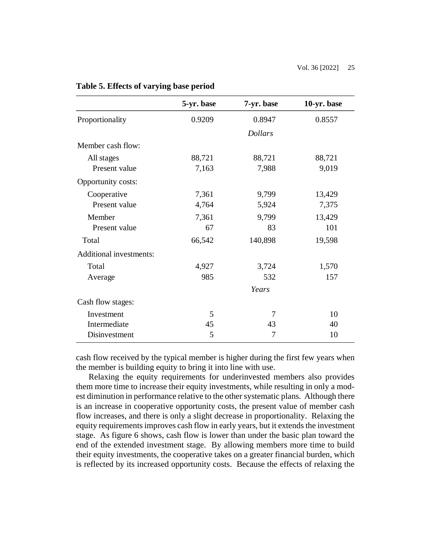|                                | 5-yr. base | 7-yr. base     | 10-yr. base |
|--------------------------------|------------|----------------|-------------|
| Proportionality                | 0.9209     | 0.8947         | 0.8557      |
|                                |            | <b>Dollars</b> |             |
| Member cash flow:              |            |                |             |
| All stages                     | 88,721     | 88,721         | 88,721      |
| Present value                  | 7,163      | 7,988          | 9,019       |
| Opportunity costs:             |            |                |             |
| Cooperative                    | 7,361      | 9,799          | 13,429      |
| Present value                  | 4,764      | 5,924          | 7,375       |
| Member                         | 7,361      | 9,799          | 13,429      |
| Present value                  | 67         | 83             | 101         |
| Total                          | 66,542     | 140,898        | 19,598      |
| <b>Additional investments:</b> |            |                |             |
| Total                          | 4,927      | 3,724          | 1,570       |
| Average                        | 985        | 532            | 157         |
|                                |            | Years          |             |
| Cash flow stages:              |            |                |             |
| Investment                     | 5          | 7              | 10          |
| Intermediate                   | 45         | 43             | 40          |
| Disinvestment                  | 5          | 7              | 10          |

# **Table 5. Effects of varying base period**

cash flow received by the typical member is higher during the first few years when the member is building equity to bring it into line with use.

Relaxing the equity requirements for underinvested members also provides them more time to increase their equity investments, while resulting in only a modest diminution in performance relative to the other systematic plans. Although there is an increase in cooperative opportunity costs, the present value of member cash flow increases, and there is only a slight decrease in proportionality. Relaxing the equity requirements improves cash flow in early years, but it extends the investment stage. As figure 6 shows, cash flow is lower than under the basic plan toward the end of the extended investment stage. By allowing members more time to build their equity investments, the cooperative takes on a greater financial burden, which is reflected by its increased opportunity costs. Because the effects of relaxing the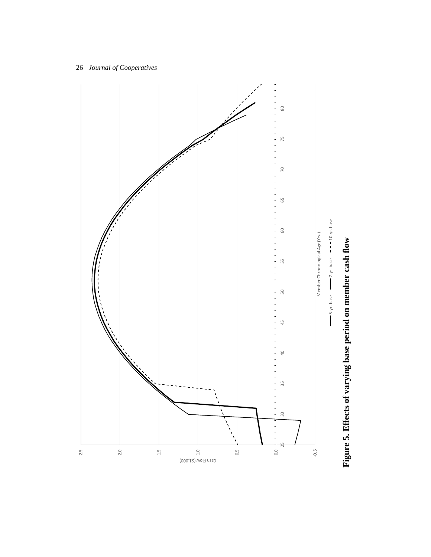

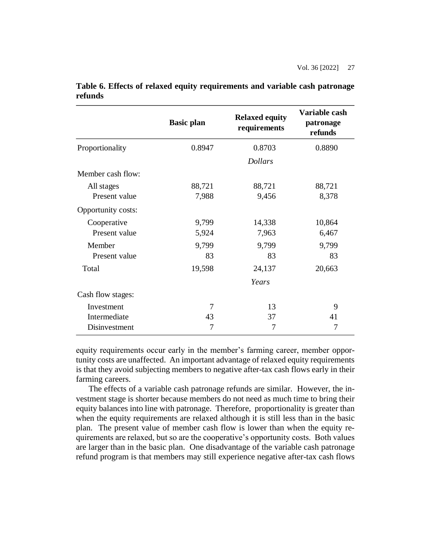|                    | <b>Basic plan</b> | <b>Relaxed equity</b><br>requirements | Variable cash<br>patronage<br>refunds |
|--------------------|-------------------|---------------------------------------|---------------------------------------|
| Proportionality    | 0.8947            | 0.8703                                | 0.8890                                |
|                    |                   | <b>Dollars</b>                        |                                       |
| Member cash flow:  |                   |                                       |                                       |
| All stages         | 88,721            | 88,721                                | 88,721                                |
| Present value      | 7,988             | 9,456                                 | 8,378                                 |
| Opportunity costs: |                   |                                       |                                       |
| Cooperative        | 9,799             | 14,338                                | 10,864                                |
| Present value      | 5,924             | 7,963                                 | 6,467                                 |
| Member             | 9,799             | 9,799                                 | 9,799                                 |
| Present value      | 83                | 83                                    | 83                                    |
| Total              | 19,598            | 24,137                                | 20,663                                |
|                    |                   | Years                                 |                                       |
| Cash flow stages:  |                   |                                       |                                       |
| Investment         | $\overline{7}$    | 13                                    | 9                                     |
| Intermediate       | 43                | 37                                    | 41                                    |
| Disinvestment      | 7                 | 7                                     | $\overline{7}$                        |

**Table 6. Effects of relaxed equity requirements and variable cash patronage refunds**

equity requirements occur early in the member's farming career, member opportunity costs are unaffected. An important advantage of relaxed equity requirements is that they avoid subjecting members to negative after-tax cash flows early in their farming careers.

The effects of a variable cash patronage refunds are similar. However, the investment stage is shorter because members do not need as much time to bring their equity balances into line with patronage. Therefore, proportionality is greater than when the equity requirements are relaxed although it is still less than in the basic plan. The present value of member cash flow is lower than when the equity requirements are relaxed, but so are the cooperative's opportunity costs. Both values are larger than in the basic plan. One disadvantage of the variable cash patronage refund program is that members may still experience negative after-tax cash flows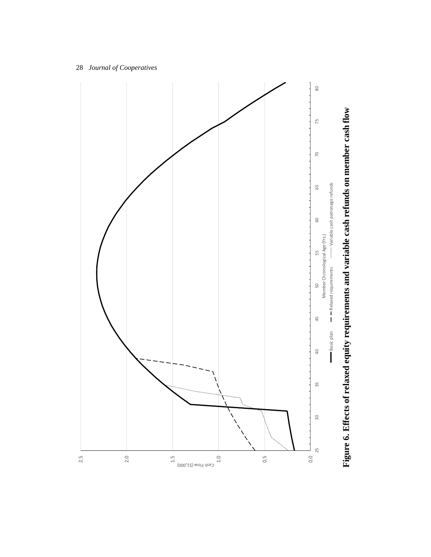

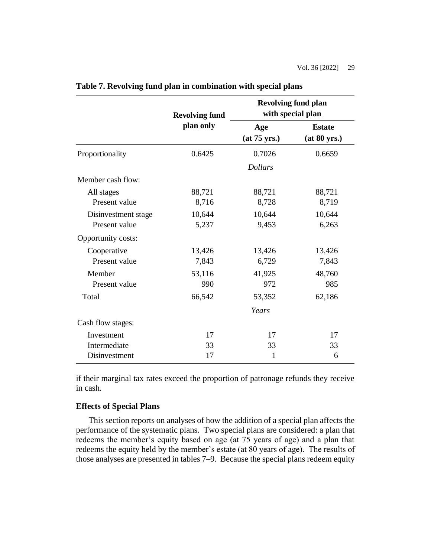|                     | <b>Revolving fund</b><br>plan only | <b>Revolving fund plan</b><br>with special plan |                               |  |
|---------------------|------------------------------------|-------------------------------------------------|-------------------------------|--|
|                     |                                    | Age<br>(at 75 yrs.)                             | <b>Estate</b><br>(at 80 yrs.) |  |
| Proportionality     | 0.6425                             | 0.7026                                          | 0.6659                        |  |
|                     |                                    | <b>Dollars</b>                                  |                               |  |
| Member cash flow:   |                                    |                                                 |                               |  |
| All stages          | 88,721                             | 88,721                                          | 88,721                        |  |
| Present value       | 8,716                              | 8,728                                           | 8,719                         |  |
| Disinvestment stage | 10,644                             | 10,644                                          | 10,644                        |  |
| Present value       | 5,237                              | 9,453                                           | 6,263                         |  |
| Opportunity costs:  |                                    |                                                 |                               |  |
| Cooperative         | 13,426                             | 13,426                                          | 13,426                        |  |
| Present value       | 7,843                              | 6,729                                           | 7,843                         |  |
| Member              | 53,116                             | 41,925                                          | 48,760                        |  |
| Present value       | 990                                | 972                                             | 985                           |  |
| Total               | 66,542                             | 53,352                                          | 62,186                        |  |
|                     |                                    | Years                                           |                               |  |
| Cash flow stages:   |                                    |                                                 |                               |  |
| Investment          | 17                                 | 17                                              | 17                            |  |
| Intermediate        | 33                                 | 33                                              | 33                            |  |
| Disinvestment       | 17                                 | 1                                               | 6                             |  |

**Table 7. Revolving fund plan in combination with special plans**

if their marginal tax rates exceed the proportion of patronage refunds they receive in cash.

# **Effects of Special Plans**

This section reports on analyses of how the addition of a special plan affects the performance of the systematic plans. Two special plans are considered: a plan that redeems the member's equity based on age (at 75 years of age) and a plan that redeems the equity held by the member's estate (at 80 years of age). The results of those analyses are presented in tables 7–9. Because the special plans redeem equity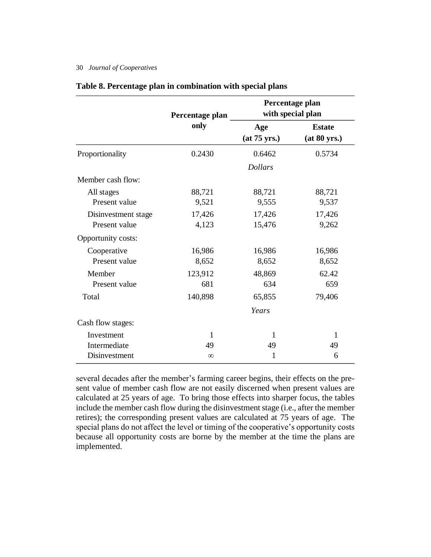|                     | Percentage plan<br>only | Percentage plan<br>with special plan |                               |  |
|---------------------|-------------------------|--------------------------------------|-------------------------------|--|
|                     |                         | Age<br>(at 75 yrs.)                  | <b>Estate</b><br>(at 80 yrs.) |  |
| Proportionality     | 0.2430                  | 0.6462                               | 0.5734                        |  |
|                     |                         | <b>Dollars</b>                       |                               |  |
| Member cash flow:   |                         |                                      |                               |  |
| All stages          | 88,721                  | 88,721                               | 88,721                        |  |
| Present value       | 9,521                   | 9,555                                | 9,537                         |  |
| Disinvestment stage | 17,426                  | 17,426                               | 17,426                        |  |
| Present value       | 4,123                   | 15,476                               | 9,262                         |  |
| Opportunity costs:  |                         |                                      |                               |  |
| Cooperative         | 16,986                  | 16,986                               | 16,986                        |  |
| Present value       | 8,652                   | 8,652                                | 8,652                         |  |
| Member              | 123,912                 | 48,869                               | 62.42                         |  |
| Present value       | 681                     | 634                                  | 659                           |  |
| Total               | 140,898                 | 65,855                               | 79,406                        |  |
|                     |                         | Years                                |                               |  |
| Cash flow stages:   |                         |                                      |                               |  |
| Investment          | 1                       | 1                                    | 1                             |  |
| Intermediate        | 49                      | 49                                   | 49                            |  |
| Disinvestment       | $\infty$                | 1                                    | 6                             |  |

# **Table 8. Percentage plan in combination with special plans**

several decades after the member's farming career begins, their effects on the present value of member cash flow are not easily discerned when present values are calculated at 25 years of age. To bring those effects into sharper focus, the tables include the member cash flow during the disinvestment stage (i.e., after the member retires); the corresponding present values are calculated at 75 years of age. The special plans do not affect the level or timing of the cooperative's opportunity costs because all opportunity costs are borne by the member at the time the plans are implemented.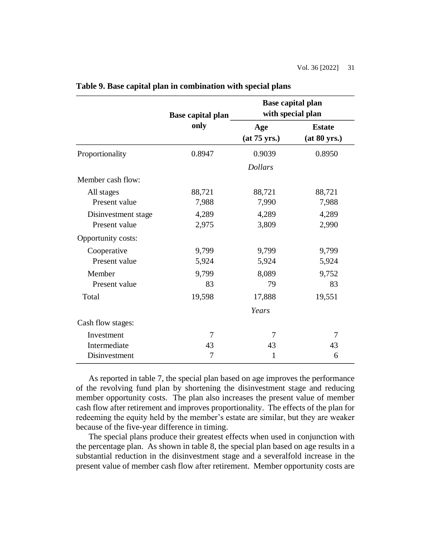|                     | <b>Base capital plan</b><br>only |                     | <b>Base capital plan</b><br>with special plan |
|---------------------|----------------------------------|---------------------|-----------------------------------------------|
|                     |                                  | Age<br>(at 75 yrs.) | <b>Estate</b><br>(at 80 yrs.)                 |
| Proportionality     | 0.8947                           | 0.9039              | 0.8950                                        |
|                     |                                  | <b>Dollars</b>      |                                               |
| Member cash flow:   |                                  |                     |                                               |
| All stages          | 88,721                           | 88,721              | 88,721                                        |
| Present value       | 7,988                            | 7,990               | 7,988                                         |
| Disinvestment stage | 4,289                            | 4,289               | 4,289                                         |
| Present value       | 2,975                            | 3,809               | 2,990                                         |
| Opportunity costs:  |                                  |                     |                                               |
| Cooperative         | 9,799                            | 9,799               | 9,799                                         |
| Present value       | 5,924                            | 5,924               | 5,924                                         |
| Member              | 9,799                            | 8,089               | 9,752                                         |
| Present value       | 83                               | 79                  | 83                                            |
| Total               | 19,598                           | 17,888              | 19,551                                        |
|                     |                                  | Years               |                                               |
| Cash flow stages:   |                                  |                     |                                               |
| Investment          | $\overline{7}$                   | 7                   | 7                                             |
| Intermediate        | 43                               | 43                  | 43                                            |
| Disinvestment       | 7                                | 1                   | 6                                             |

**Table 9. Base capital plan in combination with special plans**

As reported in table 7, the special plan based on age improves the performance of the revolving fund plan by shortening the disinvestment stage and reducing member opportunity costs. The plan also increases the present value of member cash flow after retirement and improves proportionality. The effects of the plan for redeeming the equity held by the member's estate are similar, but they are weaker because of the five-year difference in timing.

The special plans produce their greatest effects when used in conjunction with the percentage plan. As shown in table 8, the special plan based on age results in a substantial reduction in the disinvestment stage and a severalfold increase in the present value of member cash flow after retirement. Member opportunity costs are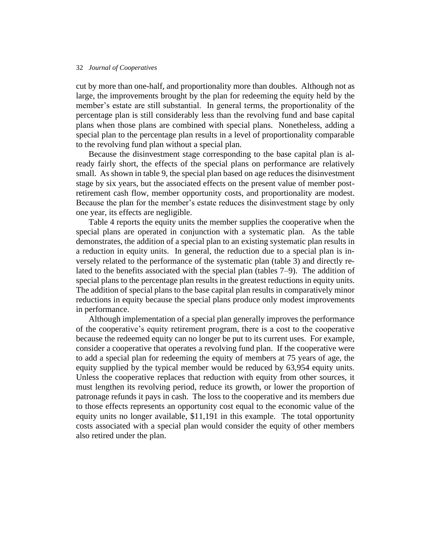cut by more than one-half, and proportionality more than doubles. Although not as large, the improvements brought by the plan for redeeming the equity held by the member's estate are still substantial. In general terms, the proportionality of the percentage plan is still considerably less than the revolving fund and base capital plans when those plans are combined with special plans. Nonetheless, adding a special plan to the percentage plan results in a level of proportionality comparable to the revolving fund plan without a special plan.

Because the disinvestment stage corresponding to the base capital plan is already fairly short, the effects of the special plans on performance are relatively small. As shown in table 9, the special plan based on age reduces the disinvestment stage by six years, but the associated effects on the present value of member postretirement cash flow, member opportunity costs, and proportionality are modest. Because the plan for the member's estate reduces the disinvestment stage by only one year, its effects are negligible.

Table 4 reports the equity units the member supplies the cooperative when the special plans are operated in conjunction with a systematic plan. As the table demonstrates, the addition of a special plan to an existing systematic plan results in a reduction in equity units. In general, the reduction due to a special plan is inversely related to the performance of the systematic plan (table 3) and directly related to the benefits associated with the special plan (tables 7–9). The addition of special plans to the percentage plan results in the greatest reductions in equity units. The addition of special plans to the base capital plan results in comparatively minor reductions in equity because the special plans produce only modest improvements in performance.

Although implementation of a special plan generally improves the performance of the cooperative's equity retirement program, there is a cost to the cooperative because the redeemed equity can no longer be put to its current uses. For example, consider a cooperative that operates a revolving fund plan. If the cooperative were to add a special plan for redeeming the equity of members at 75 years of age, the equity supplied by the typical member would be reduced by 63,954 equity units. Unless the cooperative replaces that reduction with equity from other sources, it must lengthen its revolving period, reduce its growth, or lower the proportion of patronage refunds it pays in cash. The loss to the cooperative and its members due to those effects represents an opportunity cost equal to the economic value of the equity units no longer available, \$11,191 in this example. The total opportunity costs associated with a special plan would consider the equity of other members also retired under the plan.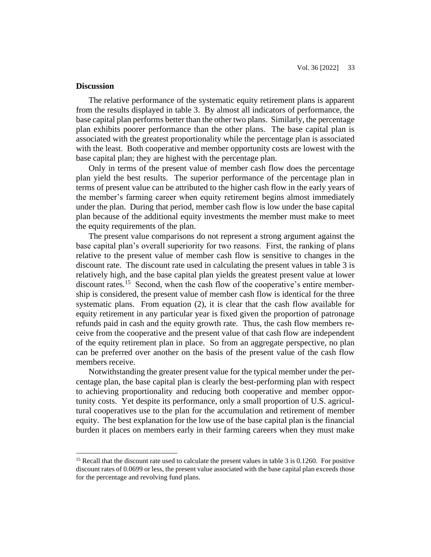# **Discussion**

The relative performance of the systematic equity retirement plans is apparent from the results displayed in table 3. By almost all indicators of performance, the base capital plan performs better than the other two plans. Similarly, the percentage plan exhibits poorer performance than the other plans. The base capital plan is associated with the greatest proportionality while the percentage plan is associated with the least. Both cooperative and member opportunity costs are lowest with the base capital plan; they are highest with the percentage plan.

Only in terms of the present value of member cash flow does the percentage plan yield the best results. The superior performance of the percentage plan in terms of present value can be attributed to the higher cash flow in the early years of the member's farming career when equity retirement begins almost immediately under the plan. During that period, member cash flow is low under the base capital plan because of the additional equity investments the member must make to meet the equity requirements of the plan.

The present value comparisons do not represent a strong argument against the base capital plan's overall superiority for two reasons. First, the ranking of plans relative to the present value of member cash flow is sensitive to changes in the discount rate. The discount rate used in calculating the present values in table 3 is relatively high, and the base capital plan yields the greatest present value at lower discount rates.<sup>15</sup> Second, when the cash flow of the cooperative's entire membership is considered, the present value of member cash flow is identical for the three systematic plans. From equation (2), it is clear that the cash flow available for equity retirement in any particular year is fixed given the proportion of patronage refunds paid in cash and the equity growth rate. Thus, the cash flow members receive from the cooperative and the present value of that cash flow are independent of the equity retirement plan in place. So from an aggregate perspective, no plan can be preferred over another on the basis of the present value of the cash flow members receive.

Notwithstanding the greater present value for the typical member under the percentage plan, the base capital plan is clearly the best-performing plan with respect to achieving proportionality and reducing both cooperative and member opportunity costs. Yet despite its performance, only a small proportion of U.S. agricultural cooperatives use to the plan for the accumulation and retirement of member equity. The best explanation for the low use of the base capital plan is the financial burden it places on members early in their farming careers when they must make

<sup>&</sup>lt;sup>15</sup> Recall that the discount rate used to calculate the present values in table 3 is 0.1260. For positive discount rates of 0.0699 or less, the present value associated with the base capital plan exceeds those for the percentage and revolving fund plans.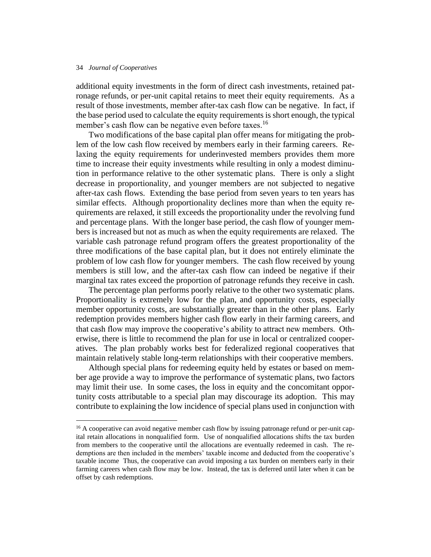additional equity investments in the form of direct cash investments, retained patronage refunds, or per-unit capital retains to meet their equity requirements. As a result of those investments, member after-tax cash flow can be negative. In fact, if the base period used to calculate the equity requirements is short enough, the typical member's cash flow can be negative even before taxes.<sup>16</sup>

Two modifications of the base capital plan offer means for mitigating the problem of the low cash flow received by members early in their farming careers. Relaxing the equity requirements for underinvested members provides them more time to increase their equity investments while resulting in only a modest diminution in performance relative to the other systematic plans. There is only a slight decrease in proportionality, and younger members are not subjected to negative after-tax cash flows. Extending the base period from seven years to ten years has similar effects. Although proportionality declines more than when the equity requirements are relaxed, it still exceeds the proportionality under the revolving fund and percentage plans. With the longer base period, the cash flow of younger members is increased but not as much as when the equity requirements are relaxed. The variable cash patronage refund program offers the greatest proportionality of the three modifications of the base capital plan, but it does not entirely eliminate the problem of low cash flow for younger members. The cash flow received by young members is still low, and the after-tax cash flow can indeed be negative if their marginal tax rates exceed the proportion of patronage refunds they receive in cash.

The percentage plan performs poorly relative to the other two systematic plans. Proportionality is extremely low for the plan, and opportunity costs, especially member opportunity costs, are substantially greater than in the other plans. Early redemption provides members higher cash flow early in their farming careers, and that cash flow may improve the cooperative's ability to attract new members. Otherwise, there is little to recommend the plan for use in local or centralized cooperatives. The plan probably works best for federalized regional cooperatives that maintain relatively stable long-term relationships with their cooperative members.

Although special plans for redeeming equity held by estates or based on member age provide a way to improve the performance of systematic plans, two factors may limit their use. In some cases, the loss in equity and the concomitant opportunity costs attributable to a special plan may discourage its adoption. This may contribute to explaining the low incidence of special plans used in conjunction with

<sup>&</sup>lt;sup>16</sup> A cooperative can avoid negative member cash flow by issuing patronage refund or per-unit capital retain allocations in nonqualified form. Use of nonqualified allocations shifts the tax burden from members to the cooperative until the allocations are eventually redeemed in cash. The redemptions are then included in the members' taxable income and deducted from the cooperative's taxable income Thus, the cooperative can avoid imposing a tax burden on members early in their farming careers when cash flow may be low. Instead, the tax is deferred until later when it can be offset by cash redemptions.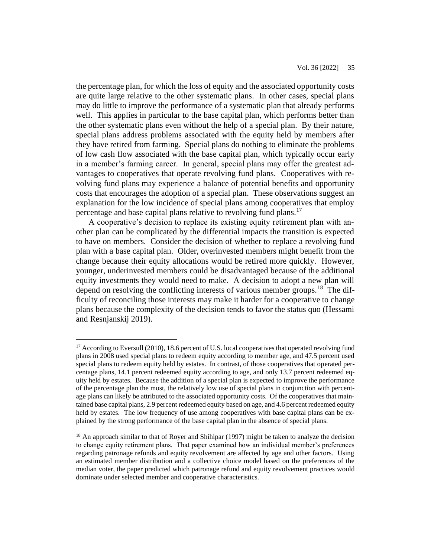the percentage plan, for which the loss of equity and the associated opportunity costs are quite large relative to the other systematic plans. In other cases, special plans may do little to improve the performance of a systematic plan that already performs well. This applies in particular to the base capital plan, which performs better than the other systematic plans even without the help of a special plan. By their nature, special plans address problems associated with the equity held by members after they have retired from farming. Special plans do nothing to eliminate the problems of low cash flow associated with the base capital plan, which typically occur early in a member's farming career. In general, special plans may offer the greatest advantages to cooperatives that operate revolving fund plans. Cooperatives with revolving fund plans may experience a balance of potential benefits and opportunity costs that encourages the adoption of a special plan. These observations suggest an explanation for the low incidence of special plans among cooperatives that employ percentage and base capital plans relative to revolving fund plans.<sup>17</sup>

A cooperative's decision to replace its existing equity retirement plan with another plan can be complicated by the differential impacts the transition is expected to have on members. Consider the decision of whether to replace a revolving fund plan with a base capital plan. Older, overinvested members might benefit from the change because their equity allocations would be retired more quickly. However, younger, underinvested members could be disadvantaged because of the additional equity investments they would need to make. A decision to adopt a new plan will depend on resolving the conflicting interests of various member groups.<sup>18</sup> The difficulty of reconciling those interests may make it harder for a cooperative to change plans because the complexity of the decision tends to favor the status quo (Hessami and Resnjanskij 2019).

<sup>&</sup>lt;sup>17</sup> According to Eversull (2010), 18.6 percent of U.S. local cooperatives that operated revolving fund plans in 2008 used special plans to redeem equity according to member age, and 47.5 percent used special plans to redeem equity held by estates. In contrast, of those cooperatives that operated percentage plans, 14.1 percent redeemed equity according to age, and only 13.7 percent redeemed equity held by estates. Because the addition of a special plan is expected to improve the performance of the percentage plan the most, the relatively low use of special plans in conjunction with percentage plans can likely be attributed to the associated opportunity costs. Of the cooperatives that maintained base capital plans, 2.9 percent redeemed equity based on age, and 4.6 percent redeemed equity held by estates. The low frequency of use among cooperatives with base capital plans can be explained by the strong performance of the base capital plan in the absence of special plans.

<sup>&</sup>lt;sup>18</sup> An approach similar to that of Royer and Shihipar (1997) might be taken to analyze the decision to change equity retirement plans. That paper examined how an individual member's preferences regarding patronage refunds and equity revolvement are affected by age and other factors. Using an estimated member distribution and a collective choice model based on the preferences of the median voter, the paper predicted which patronage refund and equity revolvement practices would dominate under selected member and cooperative characteristics.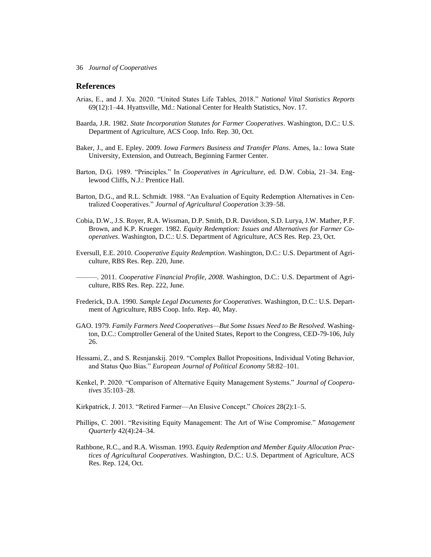# **References**

- Arias, E., and J. Xu. 2020. "United States Life Tables, 2018." *National Vital Statistics Reports* 69(12):1–44. Hyattsville, Md.: National Center for Health Statistics, Nov. 17.
- Baarda, J.R. 1982. *State Incorporation Statutes for Farmer Cooperatives*. Washington, D.C.: U.S. Department of Agriculture, ACS Coop. Info. Rep. 30, Oct.
- Baker, J., and E. Epley. 2009. *Iowa Farmers Business and Transfer Plans*. Ames, Ia.: Iowa State University, Extension, and Outreach, Beginning Farmer Center.
- Barton, D.G. 1989. "Principles." In *Cooperatives in Agriculture*, ed. D.W. Cobia, 21–34. Englewood Cliffs, N.J.: Prentice Hall.
- Barton, D.G., and R.L. Schmidt. 1988. "An Evaluation of Equity Redemption Alternatives in Centralized Cooperatives." *Journal of Agricultural Cooperation* 3:39–58.
- Cobia, D.W., J.S. Royer, R.A. Wissman, D.P. Smith, D.R. Davidson, S.D. Lurya, J.W. Mather, P.F. Brown, and K.P. Krueger. 1982. *Equity Redemption: Issues and Alternatives for Farmer Cooperatives*. Washington, D.C.: U.S. Department of Agriculture, ACS Res. Rep. 23, Oct.
- Eversull, E.E. 2010. *Cooperative Equity Redemption*. Washington, D.C.: U.S. Department of Agriculture, RBS Res. Rep. 220, June.

———. 2011. *Cooperative Financial Profile, 2008*. Washington, D.C.: U.S. Department of Agriculture, RBS Res. Rep. 222, June.

- Frederick, D.A. 1990. *Sample Legal Documents for Cooperatives*. Washington, D.C.: U.S. Department of Agriculture, RBS Coop. Info. Rep. 40, May.
- GAO. 1979. *Family Farmers Need Cooperatives—But Some Issues Need to Be Resolved.* Washington, D.C.: Comptroller General of the United States, Report to the Congress, CED-79-106, July 26.
- Hessami, Z., and S. Resnjanskij. 2019. "Complex Ballot Propositions, Individual Voting Behavior, and Status Quo Bias." *European Journal of Political Economy* 58:82–101.
- Kenkel, P. 2020. "Comparison of Alternative Equity Management Systems." *Journal of Cooperatives* 35:103–28.
- Kirkpatrick, J. 2013. "Retired Farmer—An Elusive Concept." *Choices* 28(2):1–5.
- Phillips, C. 2001. "Revisiting Equity Management: The Art of Wise Compromise." *Management Quarterly* 42(4):24–34.
- Rathbone, R.C., and R.A. Wissman. 1993. *Equity Redemption and Member Equity Allocation Practices of Agricultural Cooperatives*. Washington, D.C.: U.S. Department of Agriculture, ACS Res. Rep. 124, Oct.